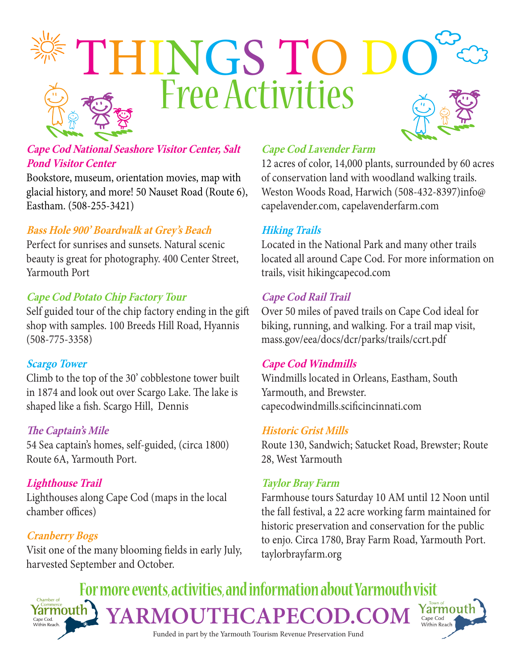

## **Cape Cod National Seashore Visitor Center, Salt Pond Visitor Center**

Bookstore, museum, orientation movies, map with glacial history, and more! 50 Nauset Road (Route 6), Eastham. (508-255-3421)

#### **Bass Hole 900' Boardwalk at Grey's Beach**

Perfect for sunrises and sunsets. Natural scenic beauty is great for photography. 400 Center Street, Yarmouth Port

#### **Cape Cod Potato Chip Factory Tour**

Self guided tour of the chip factory ending in the gift shop with samples. 100 Breeds Hill Road, Hyannis (508-775-3358)

# **Scargo Tower**

Climb to the top of the 30' cobblestone tower built in 1874 and look out over Scargo Lake. The lake is shaped like a fish. Scargo Hill, Dennis

# **The Captain's Mile**

54 Sea captain's homes, self-guided, (circa 1800) Route 6A, Yarmouth Port.

# **Lighthouse Trail**

Lighthouses along Cape Cod (maps in the local chamber offices)

# **Cranberry Bogs**

Visit one of the many blooming fields in early July, harvested September and October.

## **Cape Cod Lavender Farm**

12 acres of color, 14,000 plants, surrounded by 60 acres of conservation land with woodland walking trails. Weston Woods Road, Harwich (508-432-8397)info@ capelavender.com, capelavenderfarm.com

#### **Hiking Trails**

Located in the National Park and many other trails located all around Cape Cod. For more information on trails, visit hikingcapecod.com

# **Cape Cod Rail Trail**

Over 50 miles of paved trails on Cape Cod ideal for biking, running, and walking. For a trail map visit, mass.gov/eea/docs/dcr/parks/trails/ccrt.pdf

# **Cape Cod Windmills**

Windmills located in Orleans, Eastham, South Yarmouth, and Brewster. capecodwindmills.scificincinnati.com

#### **Historic Grist Mills**

Route 130, Sandwich; Satucket Road, Brewster; Route 28, West Yarmouth

#### **Taylor Bray Farm**

Farmhouse tours Saturday 10 AM until 12 Noon until the fall festival, a 22 acre working farm maintained for historic preservation and conservation for the public to enjo. Circa 1780, Bray Farm Road, Yarmouth Port. taylorbrayfarm.org